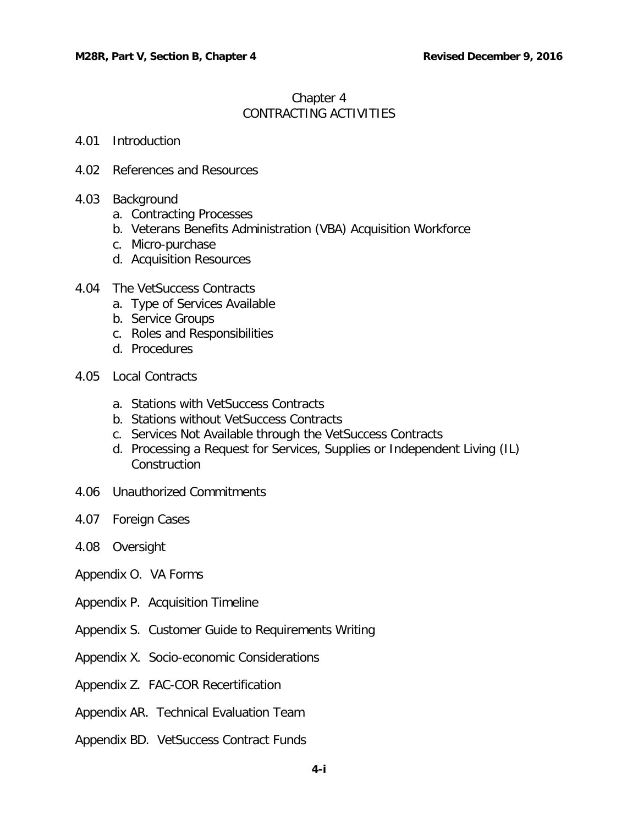# Chapter 4 CONTRACTING ACTIVITIES

### 4.01 [Introduction](#page-2-0)

- 4.02 [References and Resources](#page-2-1)
- 4.03 [Background](#page-2-2)
	- a. Contracting Processes
	- b. Veterans Benefits Administration (VBA) Acquisition Workforce
	- c. Micro-purchase
	- d. Acquisition Resources
- 4.04 [The VetSuccess Contracts](#page-3-0)
	- [a. Type](#page-5-0) of Services Available
	- [b.](#page-5-1) Service Groups
	- c. Roles and Responsibilities
	- d. Procedures
- 4.05 [Local Contracts](#page-17-0)
	- a. Stations with VetSuccess Contracts
	- b. Stations without VetSuccess Contracts
	- c. Services Not Available through the VetSuccess Contracts
	- d. Processing a Request for Services, Supplies or Independent Living (IL) **Construction**
- 4.06 [Unauthorized Commitments](#page-17-1)
- 4.07 Foreign Cases
- 4.08 Oversight
- Appendix O. VA Forms
- Appendix P. Acquisition Timeline
- Appendix S. Customer Guide to Requirements Writing
- Appendix X. Socio-economic Considerations
- Appendix Z. FAC-COR Recertification
- Appendix AR. Technical Evaluation Team
- Appendix BD. VetSuccess Contract Funds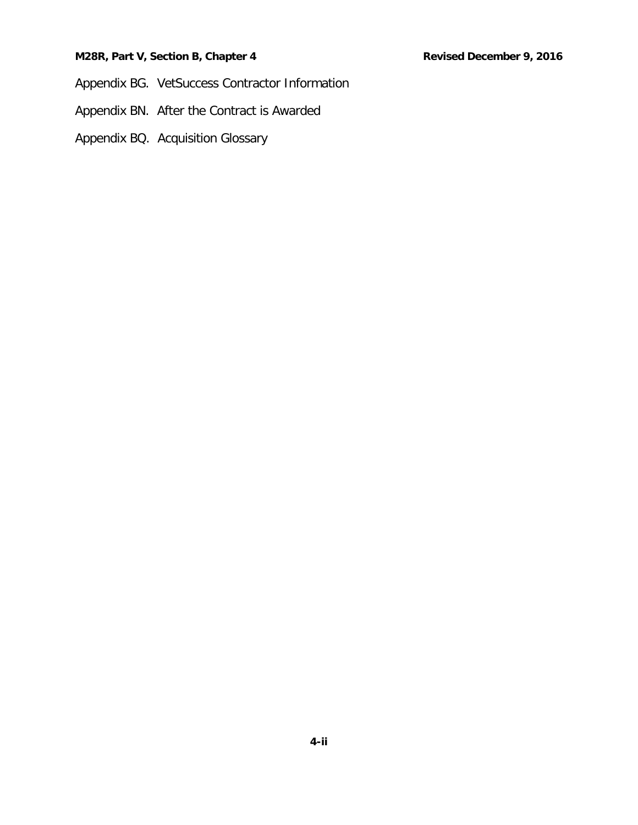## **M28R, Part V, Section B, Chapter 4 Revised December 9, 2016**

Appendix BG. VetSuccess Contractor Information

Appendix BN. After the Contract is Awarded

Appendix BQ. Acquisition Glossary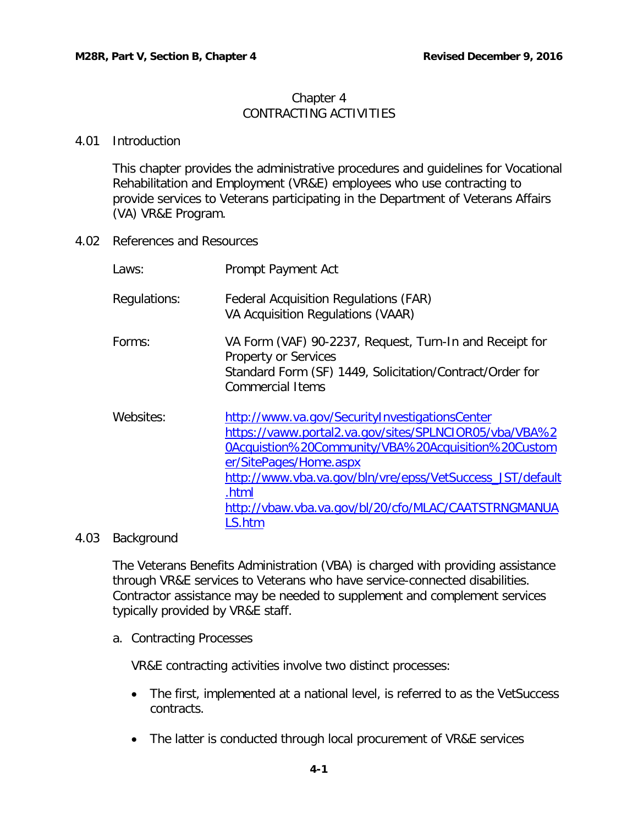# Chapter 4 CONTRACTING ACTIVITIES

## <span id="page-2-0"></span>4.01 Introduction

This chapter provides the administrative procedures and guidelines for Vocational Rehabilitation and Employment (VR&E) employees who use contracting to provide services to Veterans participating in the Department of Veterans Affairs (VA) VR&E Program.

<span id="page-2-1"></span>4.02 References and Resources

| Laws:        | Prompt Payment Act                                                                                                                                                                                                                                                                                                               |
|--------------|----------------------------------------------------------------------------------------------------------------------------------------------------------------------------------------------------------------------------------------------------------------------------------------------------------------------------------|
| Regulations: | <b>Federal Acquisition Regulations (FAR)</b><br>VA Acquisition Regulations (VAAR)                                                                                                                                                                                                                                                |
| Forms:       | VA Form (VAF) 90-2237, Request, Turn-In and Receipt for<br><b>Property or Services</b><br>Standard Form (SF) 1449, Solicitation/Contract/Order for<br><b>Commercial Items</b>                                                                                                                                                    |
| Websites:    | http://www.va.gov/SecurityInvestigationsCenter<br>https://vaww.portal2.va.gov/sites/SPLNCIOR05/vba/VBA%2<br>0Acquistion%20Community/VBA%20Acquisition%20Custom<br>er/SitePages/Home.aspx<br>http://www.vba.va.gov/bln/vre/epss/VetSuccess_JST/default<br>.html<br>http://vbaw.vba.va.gov/bl/20/cfo/MLAC/CAATSTRNGMANUA<br>LS.htm |

# <span id="page-2-2"></span>4.03 Background

The Veterans Benefits Administration (VBA) is charged with providing assistance through VR&E services to Veterans who have service-connected disabilities. Contractor assistance may be needed to supplement and complement services typically provided by VR&E staff.

a. Contracting Processes

VR&E contracting activities involve two distinct processes:

- The first, implemented at a national level, is referred to as the VetSuccess contracts.
- The latter is conducted through local procurement of VR&E services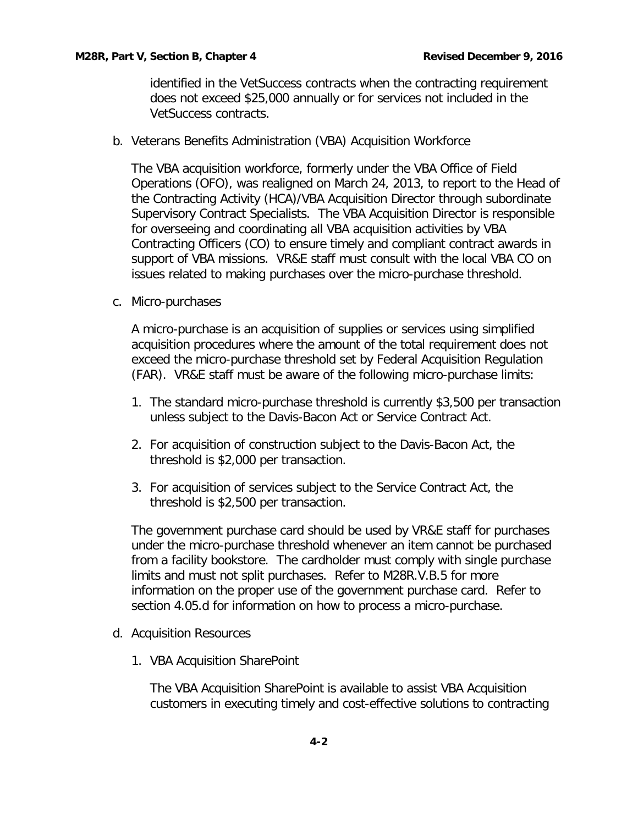identified in the VetSuccess contracts when the contracting requirement does not exceed \$25,000 annually or for services not included in the VetSuccess contracts.

<span id="page-3-0"></span>b. Veterans Benefits Administration (VBA) Acquisition Workforce

The VBA acquisition workforce, formerly under the VBA Office of Field Operations (OFO), was realigned on March 24, 2013, to report to the Head of the Contracting Activity (HCA)/VBA Acquisition Director through subordinate Supervisory Contract Specialists. The VBA Acquisition Director is responsible for overseeing and coordinating all VBA acquisition activities by VBA Contracting Officers (CO) to ensure timely and compliant contract awards in support of VBA missions. VR&E staff must consult with the local VBA CO on issues related to making purchases over the micro-purchase threshold.

c. Micro-purchases

A micro-purchase is an acquisition of supplies or services using simplified acquisition procedures where the amount of the total requirement does not exceed the micro-purchase threshold set by Federal Acquisition Regulation (FAR). VR&E staff must be aware of the following micro-purchase limits:

- 1. The standard micro-purchase threshold is currently \$3,500 per transaction unless subject to the Davis-Bacon Act or Service Contract Act.
- 2. For acquisition of construction subject to the Davis-Bacon Act, the threshold is \$2,000 per transaction.
- 3. For acquisition of services subject to the Service Contract Act, the threshold is \$2,500 per transaction.

The government purchase card should be used by VR&E staff for purchases under the micro-purchase threshold whenever an item cannot be purchased from a facility bookstore. The cardholder must comply with single purchase limits and must not split purchases. Refer to M28R.V.B.5 for more information on the proper use of the government purchase card. Refer to section 4.05.d for information on how to process a micro-purchase.

- d. Acquisition Resources
	- 1. VBA Acquisition SharePoint

The VBA Acquisition SharePoint is available to assist VBA Acquisition customers in executing timely and cost-effective solutions to contracting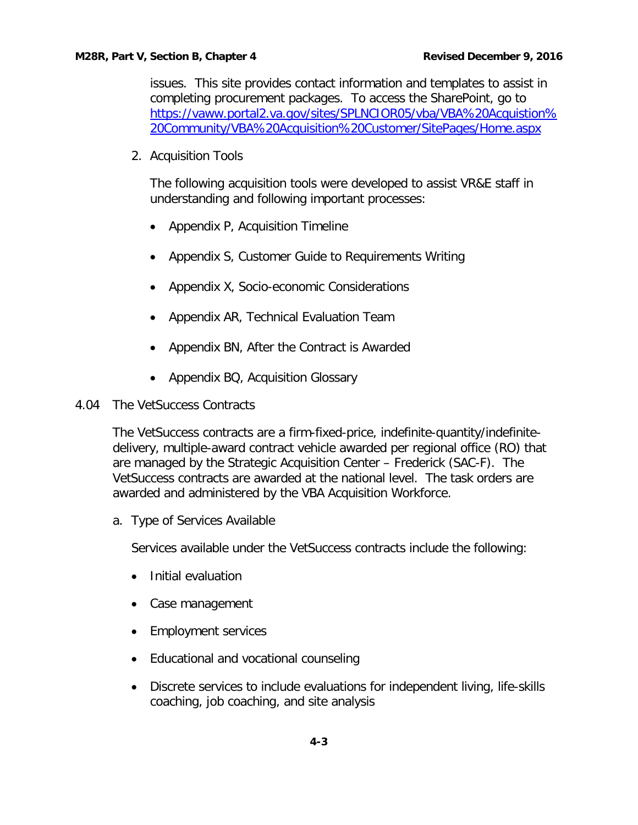issues. This site provides contact information and templates to assist in completing procurement packages. To access the SharePoint, go to [https://vaww.portal2.va.gov/sites/SPLNCIOR05/vba/VBA%20Acquistion%](https://vaww.portal2.va.gov/sites/SPLNCIOR05/vba/VBA%20Acquistion%20Community/VBA%20Acquisition%20Customer/SitePages/Home.aspx) [20Community/VBA%20Acquisition%20Customer/SitePages/Home.aspx](https://vaww.portal2.va.gov/sites/SPLNCIOR05/vba/VBA%20Acquistion%20Community/VBA%20Acquisition%20Customer/SitePages/Home.aspx)

2. Acquisition Tools

The following acquisition tools were developed to assist VR&E staff in understanding and following important processes:

- Appendix P, Acquisition Timeline
- Appendix S, Customer Guide to Requirements Writing
- Appendix X, Socio-economic Considerations
- Appendix AR, Technical Evaluation Team
- Appendix BN, After the Contract is Awarded
- Appendix BQ, Acquisition Glossary
- 4.04 The VetSuccess Contracts

The VetSuccess contracts are a firm-fixed-price, indefinite-quantity/indefinitedelivery, multiple-award contract vehicle awarded per regional office (RO) that are managed by the Strategic Acquisition Center – Frederick (SAC-F). The VetSuccess contracts are awarded at the national level. The task orders are awarded and administered by the VBA Acquisition Workforce.

a. Type of Services Available

Services available under the VetSuccess contracts include the following:

- Initial evaluation
- Case management
- Employment services
- Educational and vocational counseling
- Discrete services to include evaluations for independent living, life-skills coaching, job coaching, and site analysis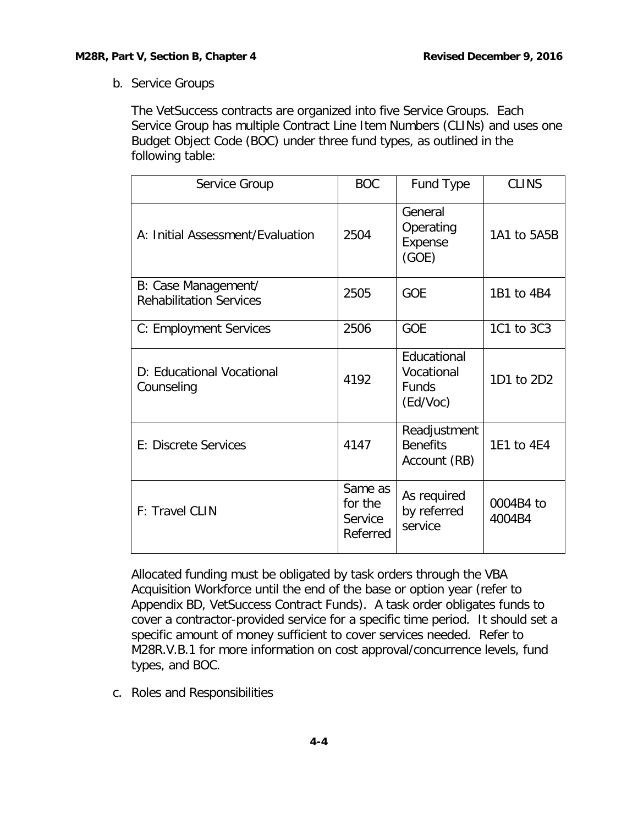<span id="page-5-0"></span>b. Service Groups

The VetSuccess contracts are organized into five Service Groups. Each Service Group has multiple Contract Line Item Numbers (CLINs) and uses one Budget Object Code (BOC) under three fund types, as outlined in the following table:

| Service Group                                         | <b>BOC</b>                                | Fund Type                                             | <b>CLINS</b>        |
|-------------------------------------------------------|-------------------------------------------|-------------------------------------------------------|---------------------|
| A: Initial Assessment/Evaluation                      | 2504                                      | General<br>Operating<br>Expense<br>(GOE)              | 1A1 to 5A5B         |
| B: Case Management/<br><b>Rehabilitation Services</b> | 2505                                      | <b>GOE</b>                                            | 1B1 to 4B4          |
| C: Employment Services                                | 2506                                      | <b>GOE</b>                                            | 1C1 to 3C3          |
| D: Educational Vocational<br>Counseling               | 4192                                      | Educational<br>Vocational<br><b>Funds</b><br>(Ed/Voc) | 1D1 to 2D2          |
| E: Discrete Services                                  | 4147                                      | Readjustment<br><b>Benefits</b><br>Account (RB)       | 1E1 to 4E4          |
| F: Travel CLIN                                        | Same as<br>for the<br>Service<br>Referred | As required<br>by referred<br>service                 | 0004B4 to<br>4004B4 |

Allocated funding must be obligated by task orders through the VBA Acquisition Workforce until the end of the base or option year (refer to Appendix BD, VetSuccess Contract Funds). A task order obligates funds to cover a contractor-provided service for a specific time period. It should set a specific amount of money sufficient to cover services needed. Refer to M28R.V.B.1 for more information on cost approval/concurrence levels, fund types, and BOC.

<span id="page-5-1"></span>c. Roles and Responsibilities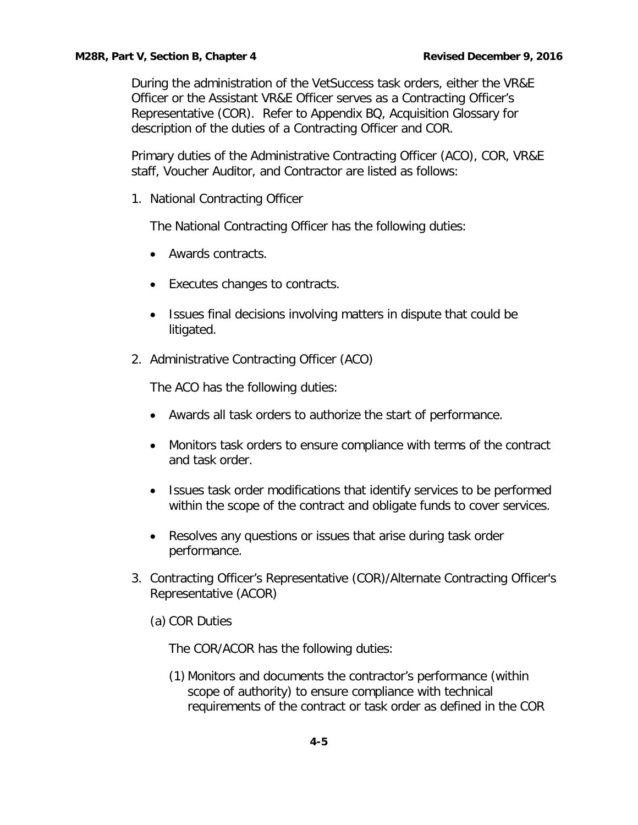During the administration of the VetSuccess task orders, either the VR&E Officer or the Assistant VR&E Officer serves as a Contracting Officer's Representative (COR). Refer to Appendix BQ, Acquisition Glossary for description of the duties of a Contracting Officer and COR.

Primary duties of the Administrative Contracting Officer (ACO), COR, VR&E staff, Voucher Auditor, and Contractor are listed as follows:

1. National Contracting Officer

The National Contracting Officer has the following duties:

- Awards contracts.
- Executes changes to contracts.
- Issues final decisions involving matters in dispute that could be litigated.
- 2. Administrative Contracting Officer (ACO)

The ACO has the following duties:

- Awards all task orders to authorize the start of performance.
- Monitors task orders to ensure compliance with terms of the contract and task order.
- Issues task order modifications that identify services to be performed within the scope of the contract and obligate funds to cover services.
- Resolves any questions or issues that arise during task order performance.
- 3. Contracting Officer's Representative (COR)/Alternate Contracting Officer's Representative (ACOR)
	- (a) COR Duties

The COR/ACOR has the following duties:

(1) Monitors and documents the contractor's performance (within scope of authority) to ensure compliance with technical requirements of the contract or task order as defined in the COR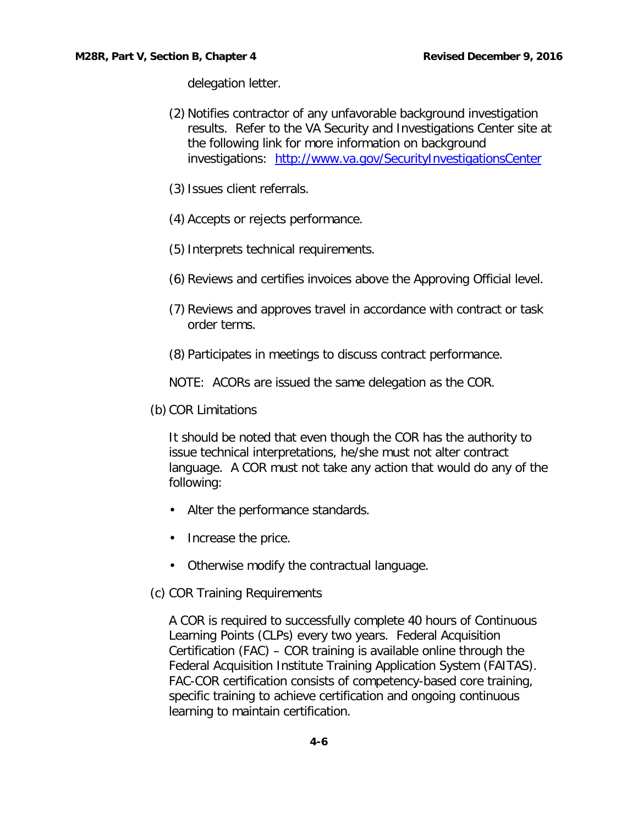delegation letter.

- (2) Notifies contractor of any unfavorable background investigation results. Refer to the VA Security and Investigations Center site at the following link for more information on background investigations: <http://www.va.gov/SecurityInvestigationsCenter>
- (3)Issues client referrals.
- (4) Accepts or rejects performance.
- (5)Interprets technical requirements.
- (6) Reviews and certifies invoices above the Approving Official level.
- (7) Reviews and approves travel in accordance with contract or task order terms.
- (8) Participates in meetings to discuss contract performance.
- NOTE: ACORs are issued the same delegation as the COR.
- (b) COR Limitations

It should be noted that even though the COR has the authority to issue technical interpretations, he/she must not alter contract language. A COR must not take any action that would do any of the following:

- Alter the performance standards.
- Increase the price.
- Otherwise modify the contractual language.
- (c) COR Training Requirements

A COR is required to successfully complete 40 hours of Continuous Learning Points (CLPs) every two years. Federal Acquisition Certification (FAC) – COR training is available online through the Federal Acquisition Institute Training Application System (FAITAS). FAC-COR certification consists of competency-based core training, specific training to achieve certification and ongoing continuous learning to maintain certification.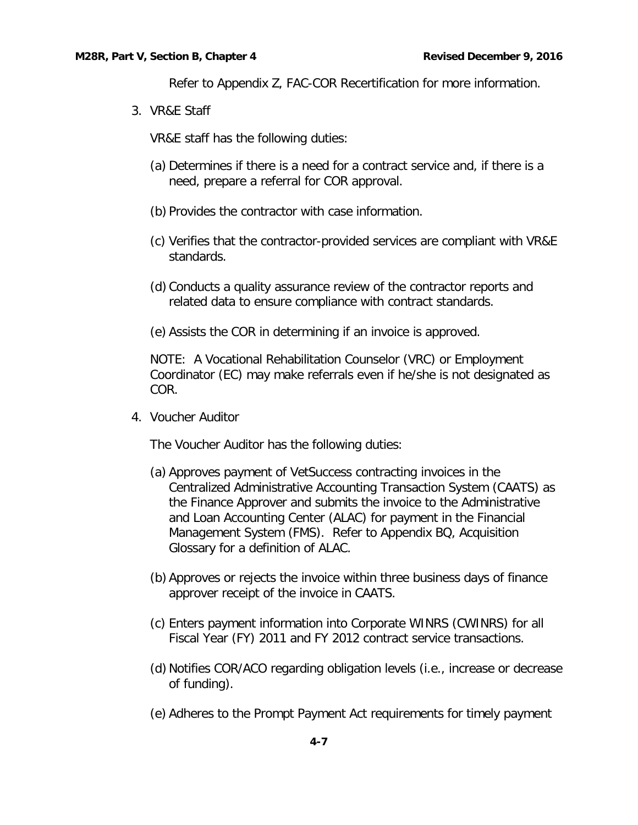Refer to Appendix Z, FAC-COR Recertification for more information.

3. VR&E Staff

VR&E staff has the following duties:

- (a) Determines if there is a need for a contract service and, if there is a need, prepare a referral for COR approval.
- (b) Provides the contractor with case information.
- (c) Verifies that the contractor-provided services are compliant with VR&E standards.
- (d) Conducts a quality assurance review of the contractor reports and related data to ensure compliance with contract standards.
- (e) Assists the COR in determining if an invoice is approved.

NOTE: A Vocational Rehabilitation Counselor (VRC) or Employment Coordinator (EC) may make referrals even if he/she is not designated as COR.

4. Voucher Auditor

The Voucher Auditor has the following duties:

- (a) Approves payment of VetSuccess contracting invoices in the Centralized Administrative Accounting Transaction System (CAATS) as the Finance Approver and submits the invoice to the Administrative and Loan Accounting Center (ALAC) for payment in the Financial Management System (FMS). Refer to Appendix BQ, Acquisition Glossary for a definition of ALAC.
- (b) Approves or rejects the invoice within three business days of finance approver receipt of the invoice in CAATS.
- (c) Enters payment information into Corporate WINRS (CWINRS) for all Fiscal Year (FY) 2011 and FY 2012 contract service transactions.
- (d) Notifies COR/ACO regarding obligation levels (i.e., increase or decrease of funding).
- (e) Adheres to the Prompt Payment Act requirements for timely payment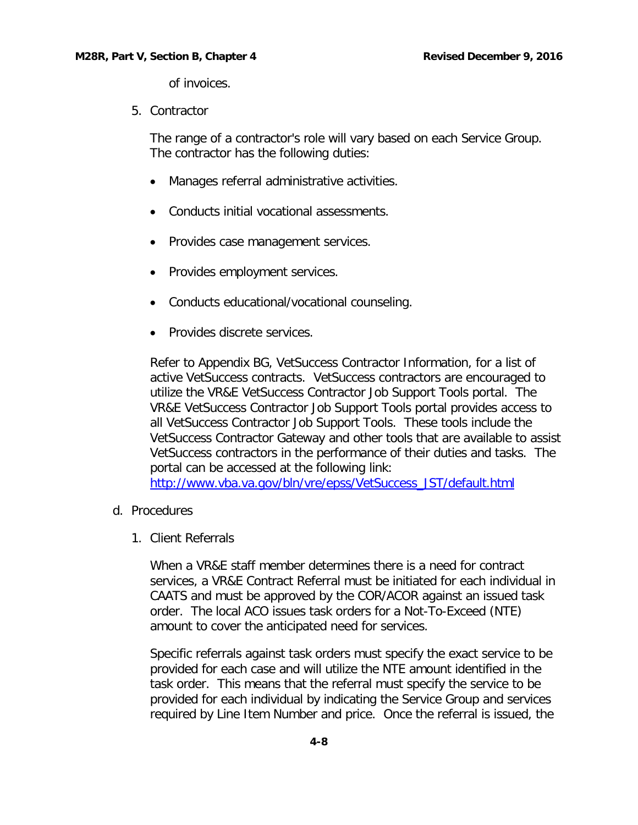of invoices.

5. Contractor

The range of a contractor's role will vary based on each Service Group. The contractor has the following duties:

- Manages referral administrative activities.
- Conducts initial vocational assessments.
- Provides case management services.
- Provides employment services.
- Conducts educational/vocational counseling.
- Provides discrete services.

Refer to Appendix BG, VetSuccess Contractor Information, for a list of active VetSuccess contracts. VetSuccess contractors are encouraged to utilize the VR&E VetSuccess Contractor Job Support Tools portal. The VR&E VetSuccess Contractor Job Support Tools portal provides access to all VetSuccess Contractor Job Support Tools. These tools include the VetSuccess Contractor Gateway and other tools that are available to assist VetSuccess contractors in the performance of their duties and tasks. The portal can be accessed at the following link:

[http://www.vba.va.gov/bln/vre/epss/VetSuccess\\_JST/default.html](http://www.vba.va.gov/bln/vre/epss/VetSuccess_JST/default.html)

- d. Procedures
	- 1. Client Referrals

When a VR&E staff member determines there is a need for contract services, a VR&E Contract Referral must be initiated for each individual in CAATS and must be approved by the COR/ACOR against an issued task order. The local ACO issues task orders for a Not-To-Exceed (NTE) amount to cover the anticipated need for services.

Specific referrals against task orders must specify the exact service to be provided for each case and will utilize the NTE amount identified in the task order. This means that the referral must specify the service to be provided for each individual by indicating the Service Group and services required by Line Item Number and price. Once the referral is issued, the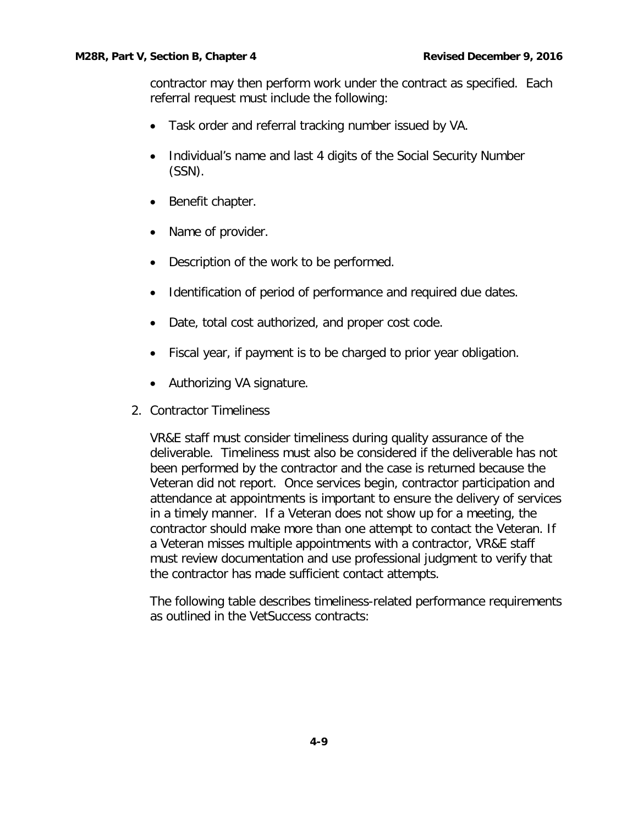contractor may then perform work under the contract as specified. Each referral request must include the following:

- Task order and referral tracking number issued by VA.
- Individual's name and last 4 digits of the Social Security Number (SSN).
- Benefit chapter.
- Name of provider.
- Description of the work to be performed.
- Identification of period of performance and required due dates.
- Date, total cost authorized, and proper cost code.
- Fiscal year, if payment is to be charged to prior year obligation.
- Authorizing VA signature.
- 2. Contractor Timeliness

VR&E staff must consider timeliness during quality assurance of the deliverable. Timeliness must also be considered if the deliverable has not been performed by the contractor and the case is returned because the Veteran did not report. Once services begin, contractor participation and attendance at appointments is important to ensure the delivery of services in a timely manner. If a Veteran does not show up for a meeting, the contractor should make more than one attempt to contact the Veteran. If a Veteran misses multiple appointments with a contractor, VR&E staff must review documentation and use professional judgment to verify that the contractor has made sufficient contact attempts.

The following table describes timeliness-related performance requirements as outlined in the VetSuccess contracts: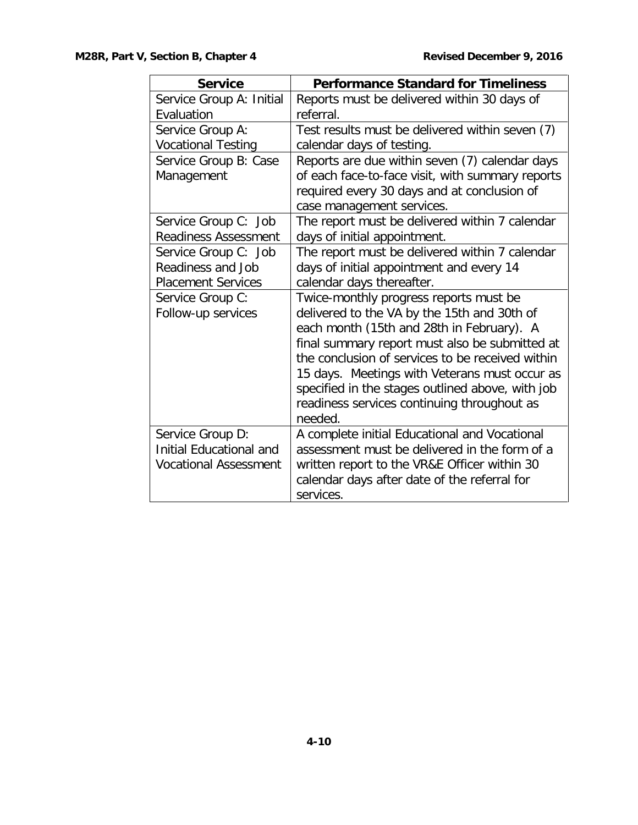| <b>Service</b>                 | <b>Performance Standard for Timeliness</b>       |  |  |
|--------------------------------|--------------------------------------------------|--|--|
| Service Group A: Initial       | Reports must be delivered within 30 days of      |  |  |
| Evaluation                     | referral.                                        |  |  |
| Service Group A:               | Test results must be delivered within seven (7)  |  |  |
| <b>Vocational Testing</b>      | calendar days of testing.                        |  |  |
| Service Group B: Case          | Reports are due within seven (7) calendar days   |  |  |
| Management                     | of each face-to-face visit, with summary reports |  |  |
|                                | required every 30 days and at conclusion of      |  |  |
|                                | case management services.                        |  |  |
| Service Group C: Job           | The report must be delivered within 7 calendar   |  |  |
| <b>Readiness Assessment</b>    | days of initial appointment.                     |  |  |
| Service Group C: Job           | The report must be delivered within 7 calendar   |  |  |
| Readiness and Job              | days of initial appointment and every 14         |  |  |
| <b>Placement Services</b>      | calendar days thereafter.                        |  |  |
| Service Group C:               | Twice-monthly progress reports must be           |  |  |
| Follow-up services             | delivered to the VA by the 15th and 30th of      |  |  |
|                                | each month (15th and 28th in February). A        |  |  |
|                                | final summary report must also be submitted at   |  |  |
|                                | the conclusion of services to be received within |  |  |
|                                | 15 days. Meetings with Veterans must occur as    |  |  |
|                                | specified in the stages outlined above, with job |  |  |
|                                | readiness services continuing throughout as      |  |  |
|                                | needed.                                          |  |  |
| Service Group D:               | A complete initial Educational and Vocational    |  |  |
| <b>Initial Educational and</b> | assessment must be delivered in the form of a    |  |  |
| <b>Vocational Assessment</b>   | written report to the VR&E Officer within 30     |  |  |
|                                | calendar days after date of the referral for     |  |  |
|                                | services.                                        |  |  |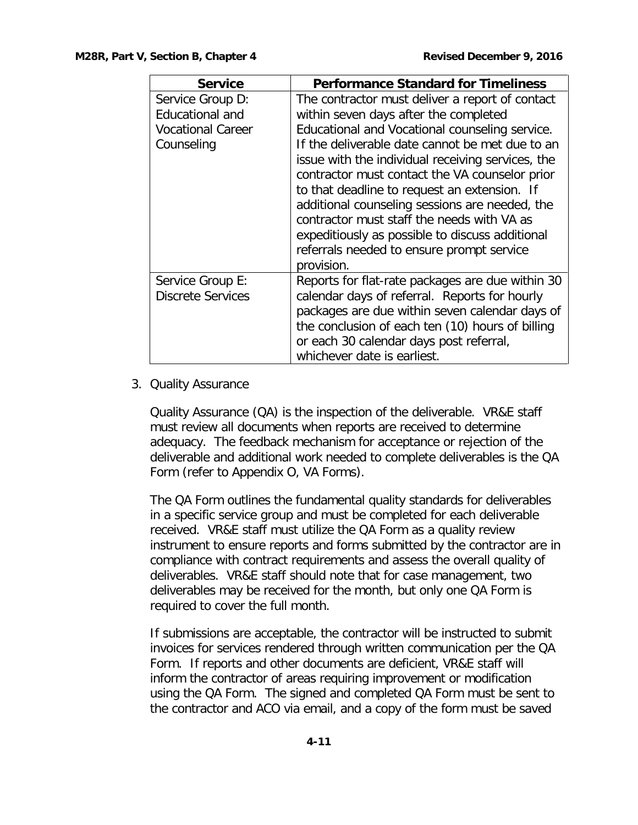| <b>Service</b>           | <b>Performance Standard for Timeliness</b>        |
|--------------------------|---------------------------------------------------|
| Service Group D:         | The contractor must deliver a report of contact   |
| <b>Educational and</b>   | within seven days after the completed             |
| <b>Vocational Career</b> | Educational and Vocational counseling service.    |
| Counseling               | If the deliverable date cannot be met due to an   |
|                          | issue with the individual receiving services, the |
|                          | contractor must contact the VA counselor prior    |
|                          | to that deadline to request an extension. If      |
|                          | additional counseling sessions are needed, the    |
|                          | contractor must staff the needs with VA as        |
|                          | expeditiously as possible to discuss additional   |
|                          | referrals needed to ensure prompt service         |
|                          | provision.                                        |
| Service Group E:         | Reports for flat-rate packages are due within 30  |
| <b>Discrete Services</b> | calendar days of referral. Reports for hourly     |
|                          | packages are due within seven calendar days of    |
|                          | the conclusion of each ten (10) hours of billing  |
|                          | or each 30 calendar days post referral,           |
|                          | whichever date is earliest.                       |

### 3. Quality Assurance

Quality Assurance (QA) is the inspection of the deliverable. VR&E staff must review all documents when reports are received to determine adequacy. The feedback mechanism for acceptance or rejection of the deliverable and additional work needed to complete deliverables is the QA Form (refer to Appendix O, VA Forms).

The QA Form outlines the fundamental quality standards for deliverables in a specific service group and must be completed for each deliverable received. VR&E staff must utilize the QA Form as a quality review instrument to ensure reports and forms submitted by the contractor are in compliance with contract requirements and assess the overall quality of deliverables. VR&E staff should note that for case management, two deliverables may be received for the month, but only one QA Form is required to cover the full month.

If submissions are acceptable, the contractor will be instructed to submit invoices for services rendered through written communication per the QA Form. If reports and other documents are deficient, VR&E staff will inform the contractor of areas requiring improvement or modification using the QA Form. The signed and completed QA Form must be sent to the contractor and ACO via email, and a copy of the form must be saved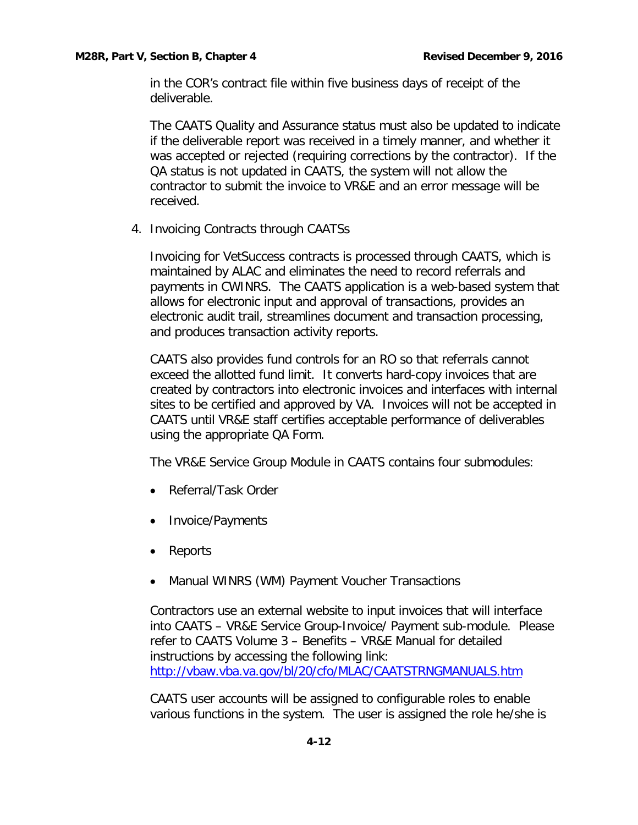in the COR's contract file within five business days of receipt of the deliverable.

The CAATS Quality and Assurance status must also be updated to indicate if the deliverable report was received in a timely manner, and whether it was accepted or rejected (requiring corrections by the contractor). If the QA status is not updated in CAATS, the system will not allow the contractor to submit the invoice to VR&E and an error message will be received.

4. Invoicing Contracts through CAATSs

Invoicing for VetSuccess contracts is processed through CAATS, which is maintained by ALAC and eliminates the need to record referrals and payments in CWINRS. The CAATS application is a web-based system that allows for electronic input and approval of transactions, provides an electronic audit trail, streamlines document and transaction processing, and produces transaction activity reports.

CAATS also provides fund controls for an RO so that referrals cannot exceed the allotted fund limit. It converts hard-copy invoices that are created by contractors into electronic invoices and interfaces with internal sites to be certified and approved by VA. Invoices will not be accepted in CAATS until VR&E staff certifies acceptable performance of deliverables using the appropriate QA Form.

The VR&E Service Group Module in CAATS contains four submodules:

- Referral/Task Order
- Invoice/Payments
- Reports
- Manual WINRS (WM) Payment Voucher Transactions

Contractors use an external website to input invoices that will interface into CAATS – VR&E Service Group-Invoice/ Payment sub-module. Please refer to CAATS Volume 3 – Benefits – VR&E Manual for detailed instructions by accessing the following link: <http://vbaw.vba.va.gov/bl/20/cfo/MLAC/CAATSTRNGMANUALS.htm>

CAATS user accounts will be assigned to configurable roles to enable various functions in the system. The user is assigned the role he/she is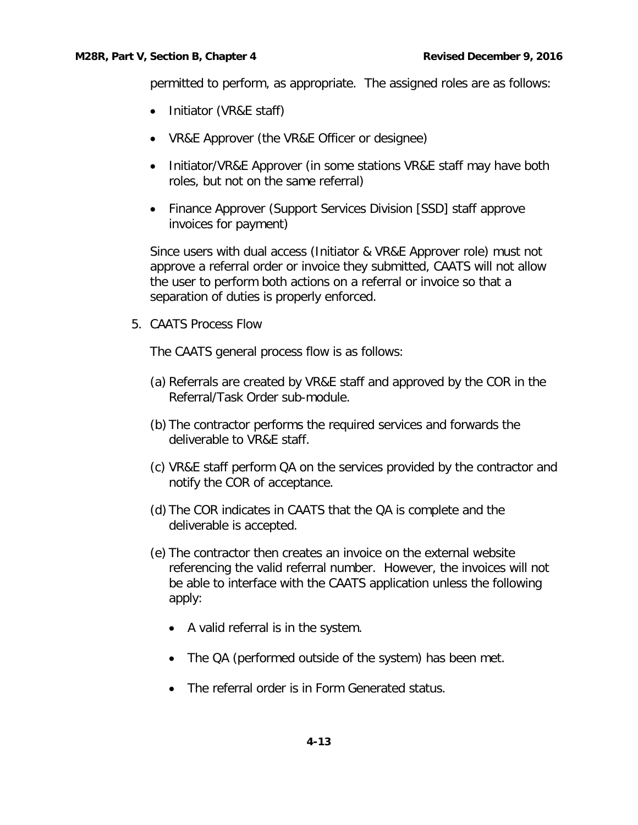#### **M28R, Part V, Section B, Chapter 4 Revised December 9, 2016 Revised December 9, 2016**

permitted to perform, as appropriate. The assigned roles are as follows:

- Initiator (VR&E staff)
- VR&E Approver (the VR&E Officer or designee)
- Initiator/VR&E Approver (in some stations VR&E staff may have both roles, but not on the same referral)
- Finance Approver (Support Services Division [SSD] staff approve invoices for payment)

Since users with dual access (Initiator & VR&E Approver role) must not approve a referral order or invoice they submitted, CAATS will not allow the user to perform both actions on a referral or invoice so that a separation of duties is properly enforced.

5. CAATS Process Flow

The CAATS general process flow is as follows:

- (a) Referrals are created by VR&E staff and approved by the COR in the Referral/Task Order sub-module.
- (b) The contractor performs the required services and forwards the deliverable to VR&E staff.
- (c) VR&E staff perform QA on the services provided by the contractor and notify the COR of acceptance.
- (d) The COR indicates in CAATS that the QA is complete and the deliverable is accepted.
- (e) The contractor then creates an invoice on the external website referencing the valid referral number. However, the invoices will not be able to interface with the CAATS application unless the following apply:
	- A valid referral is in the system.
	- The QA (performed outside of the system) has been met.
	- The referral order is in Form Generated status.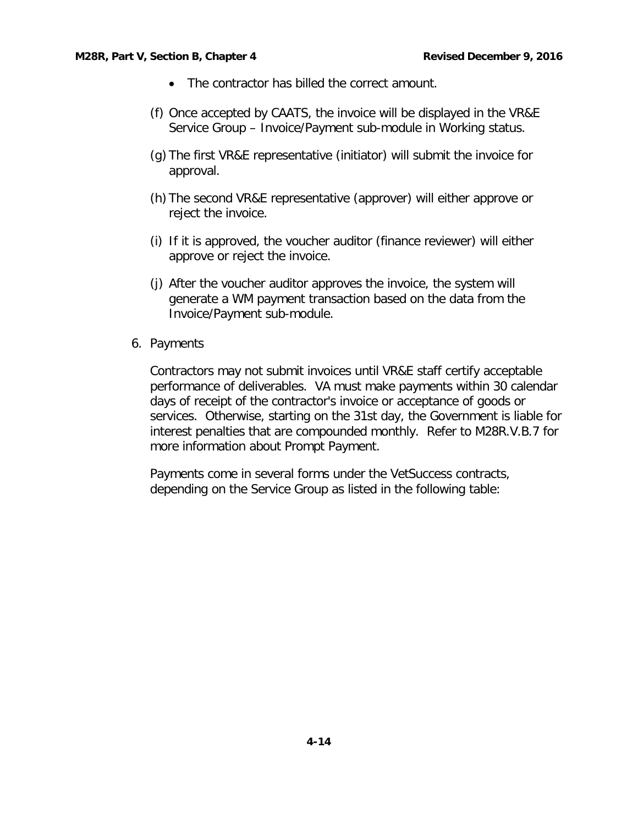- The contractor has billed the correct amount.
- (f) Once accepted by CAATS, the invoice will be displayed in the VR&E Service Group – Invoice/Payment sub-module in Working status.
- (g) The first VR&E representative (initiator) will submit the invoice for approval.
- (h) The second VR&E representative (approver) will either approve or reject the invoice.
- (i) If it is approved, the voucher auditor (finance reviewer) will either approve or reject the invoice.
- (j) After the voucher auditor approves the invoice, the system will generate a WM payment transaction based on the data from the Invoice/Payment sub-module.
- 6. Payments

Contractors may not submit invoices until VR&E staff certify acceptable performance of deliverables. VA must make payments within 30 calendar days of receipt of the contractor's invoice or acceptance of goods or services. Otherwise, starting on the 31st day, the Government is liable for interest penalties that are compounded monthly. Refer to M28R.V.B.7 for more information about Prompt Payment.

Payments come in several forms under the VetSuccess contracts, depending on the Service Group as listed in the following table: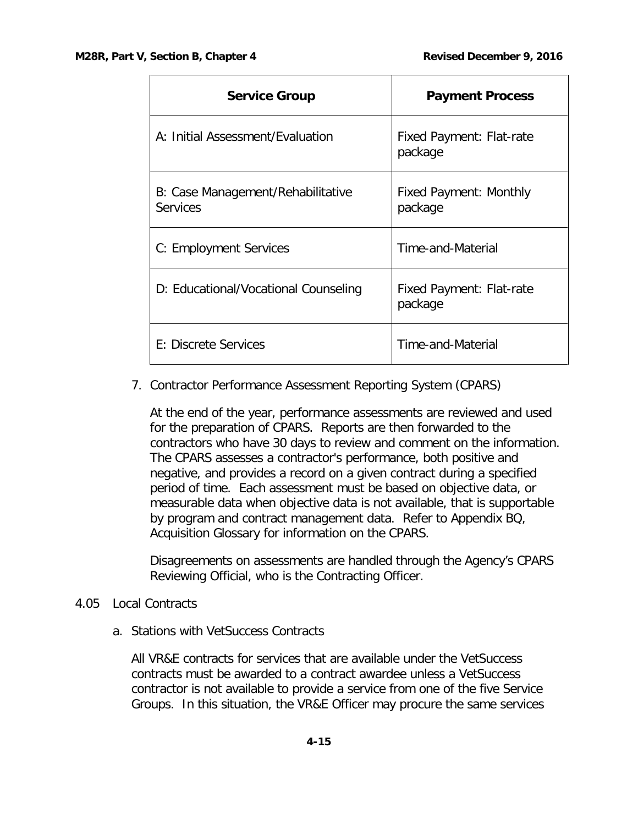Г

| <b>Service Group</b>                                 | <b>Payment Process</b>                     |
|------------------------------------------------------|--------------------------------------------|
| A: Initial Assessment/Evaluation                     | <b>Fixed Payment: Flat-rate</b><br>package |
| B: Case Management/Rehabilitative<br><b>Services</b> | Fixed Payment: Monthly<br>package          |
| C: Employment Services                               | Time-and-Material                          |
| D: Educational/Vocational Counseling                 | Fixed Payment: Flat-rate<br>package        |
| E: Discrete Services                                 | Time-and-Material                          |

7. Contractor Performance Assessment Reporting System (CPARS)

At the end of the year, performance assessments are reviewed and used for the preparation of CPARS. Reports are then forwarded to the contractors who have 30 days to review and comment on the information. The CPARS assesses a contractor's performance, both positive and negative, and provides a record on a given contract during a specified period of time. Each assessment must be based on objective data, or measurable data when objective data is not available, that is supportable by program and contract management data. Refer to Appendix BQ, Acquisition Glossary for information on the CPARS.

Disagreements on assessments are handled through the Agency's CPARS Reviewing Official, who is the Contracting Officer.

## 4.05 Local Contracts

a. Stations with VetSuccess Contracts

All VR&E contracts for services that are available under the VetSuccess contracts must be awarded to a contract awardee unless a VetSuccess contractor is not available to provide a service from one of the five Service Groups. In this situation, the VR&E Officer may procure the same services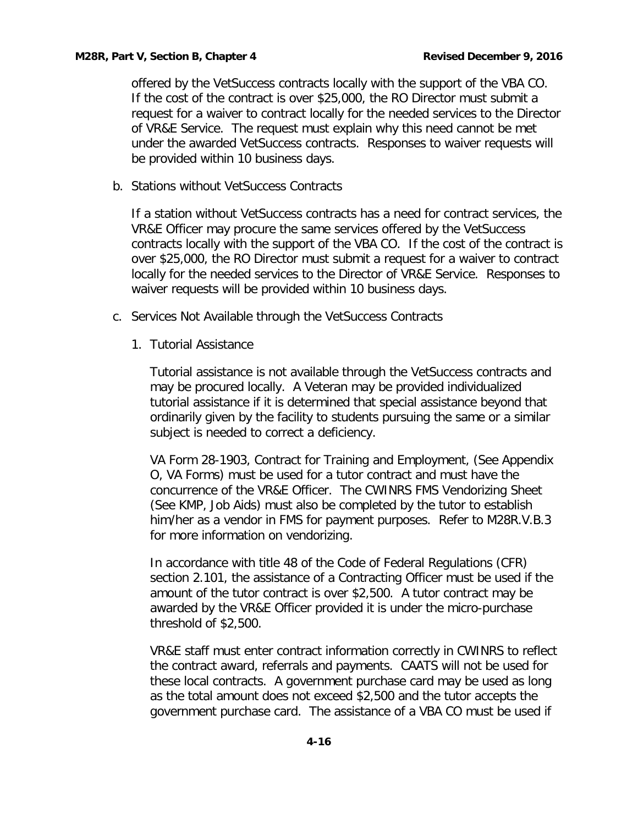offered by the VetSuccess contracts locally with the support of the VBA CO. If the cost of the contract is over \$25,000, the RO Director must submit a request for a waiver to contract locally for the needed services to the Director of VR&E Service. The request must explain why this need cannot be met under the awarded VetSuccess contracts. Responses to waiver requests will be provided within 10 business days.

<span id="page-17-0"></span>b. Stations without VetSuccess Contracts

If a station without VetSuccess contracts has a need for contract services, the VR&E Officer may procure the same services offered by the VetSuccess contracts locally with the support of the VBA CO. If the cost of the contract is over \$25,000, the RO Director must submit a request for a waiver to contract locally for the needed services to the Director of VR&E Service. Responses to waiver requests will be provided within 10 business days.

- <span id="page-17-1"></span>c. Services Not Available through the VetSuccess Contracts
	- 1. Tutorial Assistance

Tutorial assistance is not available through the VetSuccess contracts and may be procured locally. A Veteran may be provided individualized tutorial assistance if it is determined that special assistance beyond that ordinarily given by the facility to students pursuing the same or a similar subject is needed to correct a deficiency.

[VA Form 28-1903,](javascript:top.doOpenPDF() Contract for Training and Employment, (See Appendix O, VA Forms) must be used for a tutor contract and must have the concurrence of the VR&E Officer. The CWINRS FMS Vendorizing Sheet (See KMP, Job Aids) must also be completed by the tutor to establish him/her as a vendor in FMS for payment purposes. Refer to M28R.V.B.3 for more information on vendorizing.

In accordance with title 48 of the Code of Federal Regulations (CFR) section 2.101, the assistance of a Contracting Officer must be used if the amount of the tutor contract is over \$2,500. A tutor contract may be awarded by the VR&E Officer provided it is under the micro-purchase threshold of \$2,500.

VR&E staff must enter contract information correctly in CWINRS to reflect the contract award, referrals and payments. CAATS will not be used for these local contracts. A government purchase card may be used as long as the total amount does not exceed \$2,500 and the tutor accepts the government purchase card. The assistance of a VBA CO must be used if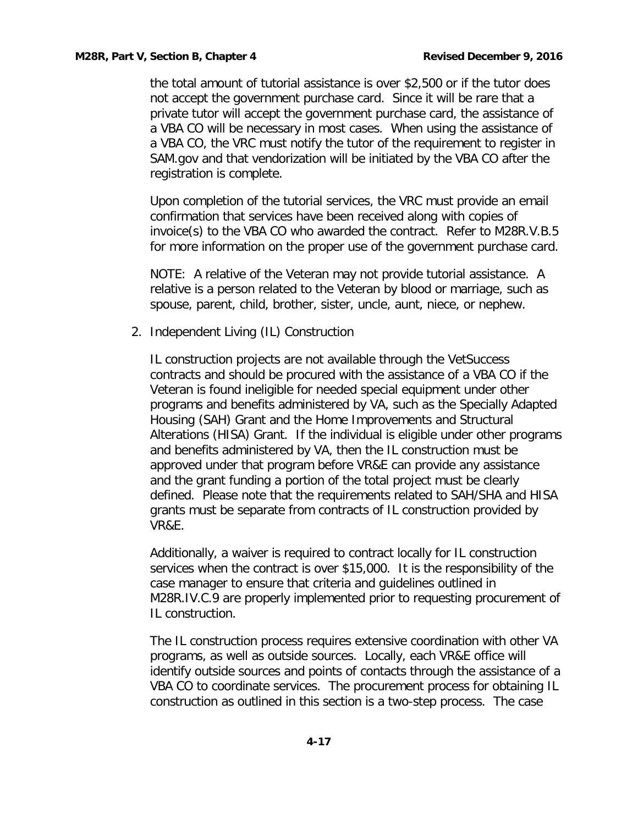the total amount of tutorial assistance is over \$2,500 or if the tutor does not accept the government purchase card. Since it will be rare that a private tutor will accept the government purchase card, the assistance of a VBA CO will be necessary in most cases. When using the assistance of a VBA CO, the VRC must notify the tutor of the requirement to register in SAM.gov and that vendorization will be initiated by the VBA CO after the registration is complete.

Upon completion of the tutorial services, the VRC must provide an email confirmation that services have been received along with copies of invoice(s) to the VBA CO who awarded the contract. Refer to M28R.V.B.5 for more information on the proper use of the government purchase card.

NOTE: A relative of the Veteran may not provide tutorial assistance. A relative is a person related to the Veteran by blood or marriage, such as spouse, parent, child, brother, sister, uncle, aunt, niece, or nephew.

2. Independent Living (IL) Construction

IL construction projects are not available through the VetSuccess contracts and should be procured with the assistance of a VBA CO if the Veteran is found ineligible for needed special equipment under other programs and benefits administered by VA, such as the Specially Adapted Housing (SAH) Grant and the Home Improvements and Structural Alterations (HISA) Grant. If the individual is eligible under other programs and benefits administered by VA, then the IL construction must be approved under that program before VR&E can provide any assistance and the grant funding a portion of the total project must be clearly defined. Please note that the requirements related to SAH/SHA and HISA grants must be separate from contracts of IL construction provided by VR&E.

Additionally, a waiver is required to contract locally for IL construction services when the contract is over \$15,000. It is the responsibility of the case manager to ensure that criteria and guidelines outlined in M28R.IV.C.9 are properly implemented prior to requesting procurement of IL construction.

The IL construction process requires extensive coordination with other VA programs, as well as outside sources. Locally, each VR&E office will identify outside sources and points of contacts through the assistance of a VBA CO to coordinate services. The procurement process for obtaining IL construction as outlined in this section is a two-step process. The case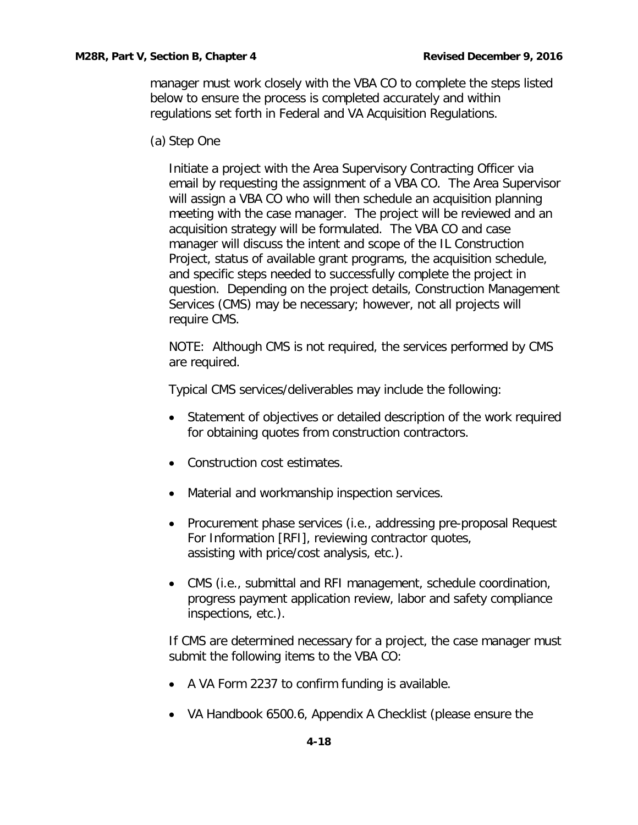manager must work closely with the VBA CO to complete the steps listed below to ensure the process is completed accurately and within regulations set forth in Federal and VA Acquisition Regulations.

(a) Step One

Initiate a project with the Area Supervisory Contracting Officer via email by requesting the assignment of a VBA CO. The Area Supervisor will assign a VBA CO who will then schedule an acquisition planning meeting with the case manager. The project will be reviewed and an acquisition strategy will be formulated. The VBA CO and case manager will discuss the intent and scope of the IL Construction Project, status of available grant programs, the acquisition schedule, and specific steps needed to successfully complete the project in question. Depending on the project details, Construction Management Services (CMS) may be necessary; however, not all projects will require CMS.

NOTE: Although CMS is not required, the services performed by CMS are required.

Typical CMS services/deliverables may include the following:

- Statement of objectives or detailed description of the work required for obtaining quotes from construction contractors.
- Construction cost estimates.
- Material and workmanship inspection services.
- Procurement phase services (i.e., addressing pre-proposal Request For Information [RFI], reviewing contractor quotes, assisting with price/cost analysis, etc.).
- CMS (i.e., submittal and RFI management, schedule coordination, progress payment application review, labor and safety compliance inspections, etc.).

If CMS are determined necessary for a project, the case manager must submit the following items to the VBA CO:

- A VA Form 2237 to confirm funding is available.
- VA Handbook 6500.6, Appendix A Checklist (please ensure the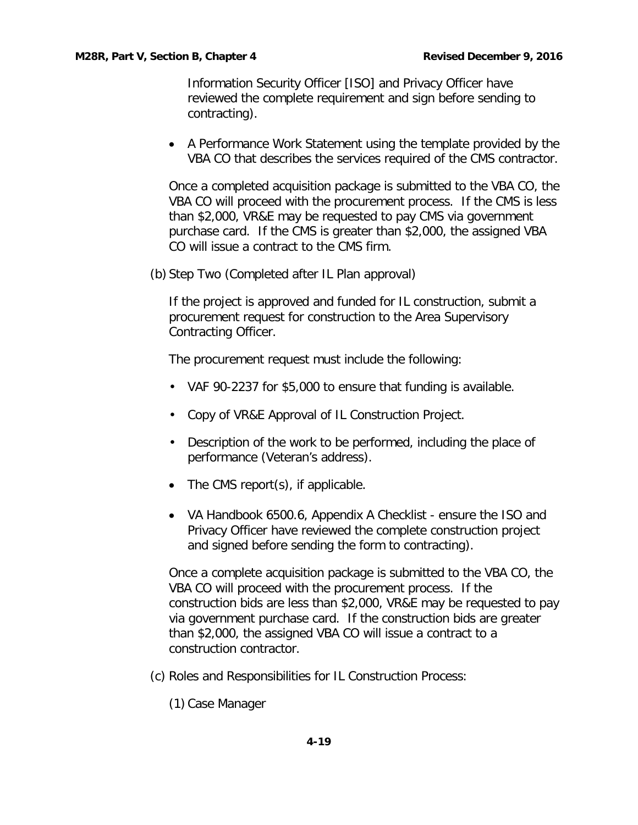Information Security Officer [ISO] and Privacy Officer have reviewed the complete requirement and sign before sending to contracting).

• A Performance Work Statement using the template provided by the VBA CO that describes the services required of the CMS contractor.

Once a completed acquisition package is submitted to the VBA CO, the VBA CO will proceed with the procurement process. If the CMS is less than \$2,000, VR&E may be requested to pay CMS via government purchase card. If the CMS is greater than \$2,000, the assigned VBA CO will issue a contract to the CMS firm.

(b) Step Two (Completed after IL Plan approval)

If the project is approved and funded for IL construction, submit a procurement request for construction to the Area Supervisory Contracting Officer.

The procurement request must include the following:

- VAF 90-2237 for \$5,000 to ensure that funding is available.
- Copy of VR&E Approval of IL Construction Project.
- Description of the work to be performed, including the place of performance (Veteran's address).
- The CMS report(s), if applicable.
- VA Handbook 6500.6, Appendix A Checklist ensure the ISO and Privacy Officer have reviewed the complete construction project and signed before sending the form to contracting).

Once a complete acquisition package is submitted to the VBA CO, the VBA CO will proceed with the procurement process. If the construction bids are less than \$2,000, VR&E may be requested to pay via government purchase card. If the construction bids are greater than \$2,000, the assigned VBA CO will issue a contract to a construction contractor.

- (c) Roles and Responsibilities for IL Construction Process:
	- (1) Case Manager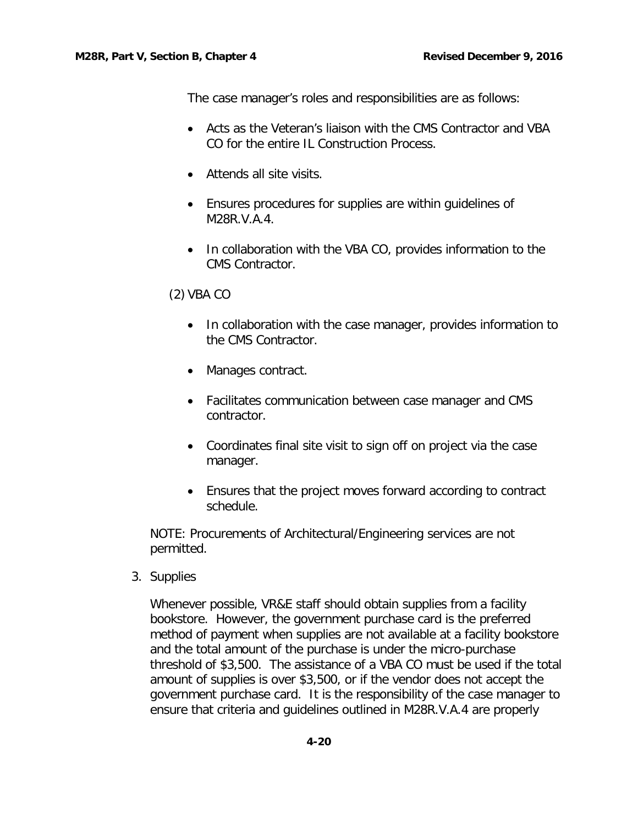The case manager's roles and responsibilities are as follows:

- Acts as the Veteran's liaison with the CMS Contractor and VBA CO for the entire IL Construction Process.
- Attends all site visits.
- Ensures procedures for supplies are within guidelines of M28R.V.A.4.
- In collaboration with the VBA CO, provides information to the CMS Contractor.

#### (2) VBA CO

- In collaboration with the case manager, provides information to the CMS Contractor.
- Manages contract.
- Facilitates communication between case manager and CMS contractor.
- Coordinates final site visit to sign off on project via the case manager.
- Ensures that the project moves forward according to contract schedule.

NOTE: Procurements of Architectural/Engineering services are not permitted.

3. Supplies

Whenever possible, VR&E staff should obtain supplies from a facility bookstore. However, the government purchase card is the preferred method of payment when supplies are not available at a facility bookstore and the total amount of the purchase is under the micro-purchase threshold of \$3,500. The assistance of a VBA CO must be used if the total amount of supplies is over \$3,500, or if the vendor does not accept the government purchase card. It is the responsibility of the case manager to ensure that criteria and guidelines outlined in M28R.V.A.4 are properly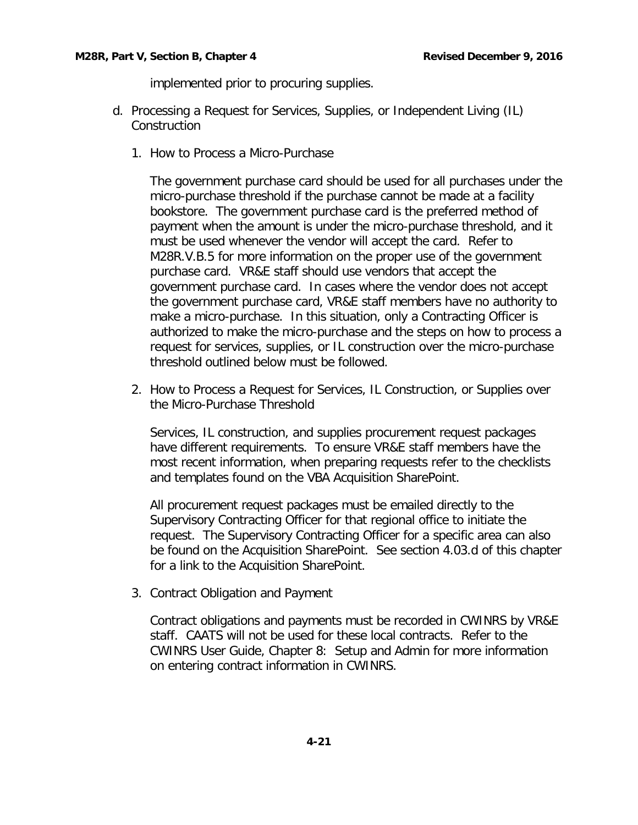implemented prior to procuring supplies.

- d. Processing a Request for Services, Supplies, or Independent Living (IL) Construction
	- 1. How to Process a Micro-Purchase

The government purchase card should be used for all purchases under the micro-purchase threshold if the purchase cannot be made at a facility bookstore. The government purchase card is the preferred method of payment when the amount is under the micro-purchase threshold, and it must be used whenever the vendor will accept the card. Refer to M28R.V.B.5 for more information on the proper use of the government purchase card. VR&E staff should use vendors that accept the government purchase card. In cases where the vendor does not accept the government purchase card, VR&E staff members have no authority to make a micro-purchase. In this situation, only a Contracting Officer is authorized to make the micro-purchase and the steps on how to process a request for services, supplies, or IL construction over the micro-purchase threshold outlined below must be followed.

2. How to Process a Request for Services, IL Construction, or Supplies over the Micro-Purchase Threshold

Services, IL construction, and supplies procurement request packages have different requirements. To ensure VR&E staff members have the most recent information, when preparing requests refer to the checklists and templates found on the VBA Acquisition SharePoint.

All procurement request packages must be emailed directly to the Supervisory Contracting Officer for that regional office to initiate the request. The Supervisory Contracting Officer for a specific area can also be found on the Acquisition SharePoint. See section 4.03.d of this chapter for a link to the Acquisition SharePoint.

3. Contract Obligation and Payment

Contract obligations and payments must be recorded in CWINRS by VR&E staff. CAATS will not be used for these local contracts. Refer to the CWINRS User Guide, Chapter 8: Setup and Admin for more information on entering contract information in CWINRS.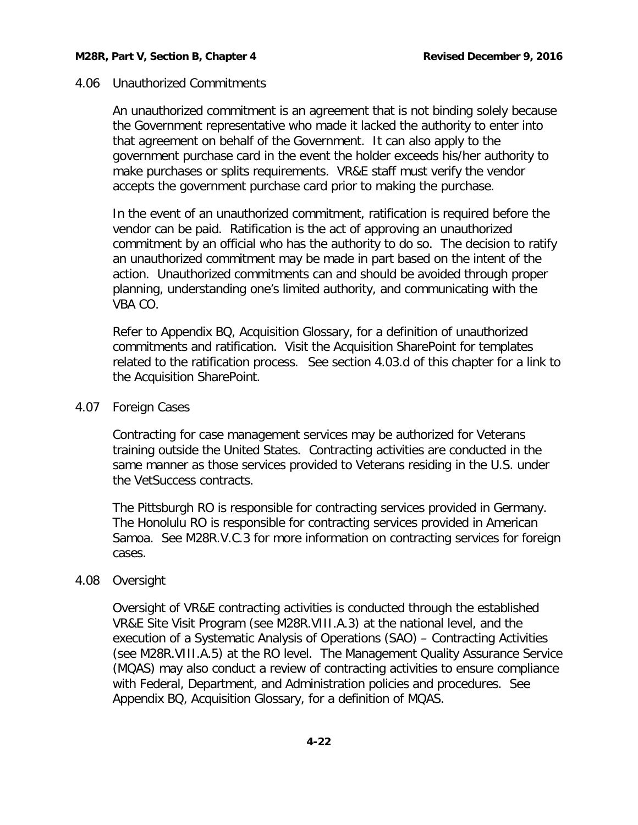## 4.06 Unauthorized Commitments

An unauthorized commitment is an agreement that is not binding solely because the Government representative who made it lacked the authority to enter into that agreement on behalf of the Government. It can also apply to the government purchase card in the event the holder exceeds his/her authority to make purchases or splits requirements. VR&E staff must verify the vendor accepts the government purchase card prior to making the purchase.

In the event of an unauthorized commitment, ratification is required before the vendor can be paid. Ratification is the act of approving an unauthorized commitment by an official who has the authority to do so. The decision to ratify an unauthorized commitment may be made in part based on the intent of the action. Unauthorized commitments can and should be avoided through proper planning, understanding one's limited authority, and communicating with the VBA CO.

Refer to Appendix BQ, Acquisition Glossary, for a definition of unauthorized commitments and ratification. Visit the Acquisition SharePoint for templates related to the ratification process. See section 4.03.d of this chapter for a link to the Acquisition SharePoint.

## 4.07 Foreign Cases

Contracting for case management services may be authorized for Veterans training outside the United States. Contracting activities are conducted in the same manner as those services provided to Veterans residing in the U.S. under the VetSuccess contracts.

The Pittsburgh RO is responsible for contracting services provided in Germany. The Honolulu RO is responsible for contracting services provided in American Samoa. See M28R.V.C.3 for more information on contracting services for foreign cases.

## 4.08 Oversight

Oversight of VR&E contracting activities is conducted through the established VR&E Site Visit Program (see M28R.VIII.A.3) at the national level, and the execution of a Systematic Analysis of Operations (SAO) – Contracting Activities (see M28R.VIII.A.5) at the RO level. The Management Quality Assurance Service (MQAS) may also conduct a review of contracting activities to ensure compliance with Federal, Department, and Administration policies and procedures. See Appendix BQ, Acquisition Glossary, for a definition of MQAS.